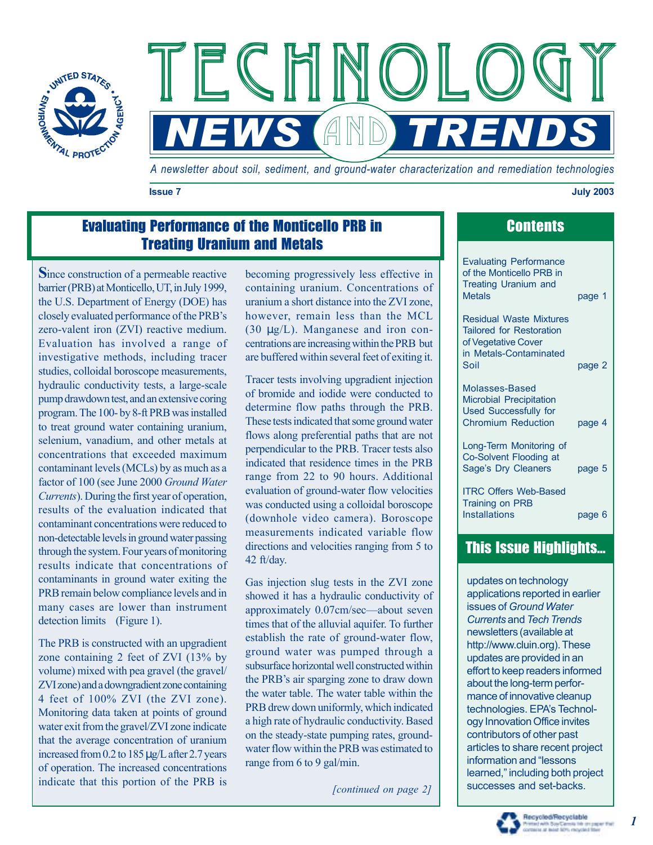



*A newsletter about soil, sediment, and ground-water characterization and remediation technologies*

**Issue 7 July 2003** 

## Evaluating Performance of the Monticello PRB in Treating Uranium and Metals

**S**ince construction of a permeable reactive barrier (PRB) at Monticello, UT, in July 1999, the U.S. Department of Energy (DOE) has closely evaluated performance of the PRB's zero-valent iron (ZVI) reactive medium. Evaluation has involved a range of investigative methods, including tracer studies, colloidal boroscope measurements, hydraulic conductivity tests, a large-scale pump drawdown test, and an extensive coring program. The 100- by 8-ft PRB was installed to treat ground water containing uranium, selenium, vanadium, and other metals at concentrations that exceeded maximum contaminant levels (MCLs) by as much as a factor of 100 (see June 2000 *Ground Water Currents*). During the first year of operation, results of the evaluation indicated that contaminant concentrations were reduced to non-detectable levels in ground water passing through the system. Four years of monitoring results indicate that concentrations of contaminants in ground water exiting the PRB remain below compliance levels and in many cases are lower than instrument detection limits (Figure 1).

The PRB is constructed with an upgradient zone containing 2 feet of ZVI (13% by volume) mixed with pea gravel (the gravel/ ZVI zone) and a downgradient zone containing 4 feet of 100% ZVI (the ZVI zone). Monitoring data taken at points of ground water exit from the gravel/ZVI zone indicate that the average concentration of uranium increased from 0.2 to 185 µg/L after 2.7 years of operation. The increased concentrations indicate that this portion of the PRB is

becoming progressively less effective in containing uranium. Concentrations of uranium a short distance into the ZVI zone, however, remain less than the MCL (30 µg/L). Manganese and iron concentrations are increasing within the PRB but are buffered within several feet of exiting it.

Tracer tests involving upgradient injection of bromide and iodide were conducted to determine flow paths through the PRB. These tests indicated that some ground water flows along preferential paths that are not perpendicular to the PRB. Tracer tests also indicated that residence times in the PRB range from 22 to 90 hours. Additional evaluation of ground-water flow velocities was conducted using a colloidal boroscope (downhole video camera). Boroscope measurements indicated variable flow directions and velocities ranging from 5 to 42 ft/day.

Gas injection slug tests in the ZVI zone showed it has a hydraulic conductivity of approximately 0.07cm/sec–about seven times that of the alluvial aquifer. To further establish the rate of ground-water flow, ground water was pumped through a subsurface horizontal well constructed within the PRB's air sparging zone to draw down the water table. The water table within the PRB drew down uniformly, which indicated a high rate of hydraulic conductivity. Based on the steady-state pumping rates, groundwater flow within the PRB was estimated to range from 6 to 9 gal/min.

*[continued on page 2]* 

| <b>Contents</b> |  |
|-----------------|--|

| <b>Evaluating Performance</b><br>of the Monticello PRB in<br><b>Treating Uranium and</b><br><b>Metals</b>          | page 1 |
|--------------------------------------------------------------------------------------------------------------------|--------|
| <b>Residual Waste Mixtures</b><br><b>Tailored for Restoration</b><br>of Vegetative Cover<br>in Metals-Contaminated |        |
| Soil                                                                                                               | page 2 |
| Molasses-Based<br><b>Microbial Precipitation</b><br><b>Used Successfully for</b><br><b>Chromium Reduction</b>      | page 4 |
| Long-Term Monitoring of<br>Co-Solvent Flooding at<br>Sage's Dry Cleaners                                           | page 5 |
| <b>ITRC Offers Web-Based</b><br><b>Training on PRB</b><br><b>Installations</b>                                     | page 6 |

# This Issue Highlights...

updates on technology applications reported in earlier issues of *Ground Water Currents* and *Tech Trends*  newsletters (available at <http://www.cluin.org>). These updates are provided in an effort to keep readers informed about the long-term performance of innovative cleanup technologies. EPA's Technology Innovation Office invites contributors of other past articles to share recent project information and "lessons" learned," including both project successes and set-backs.

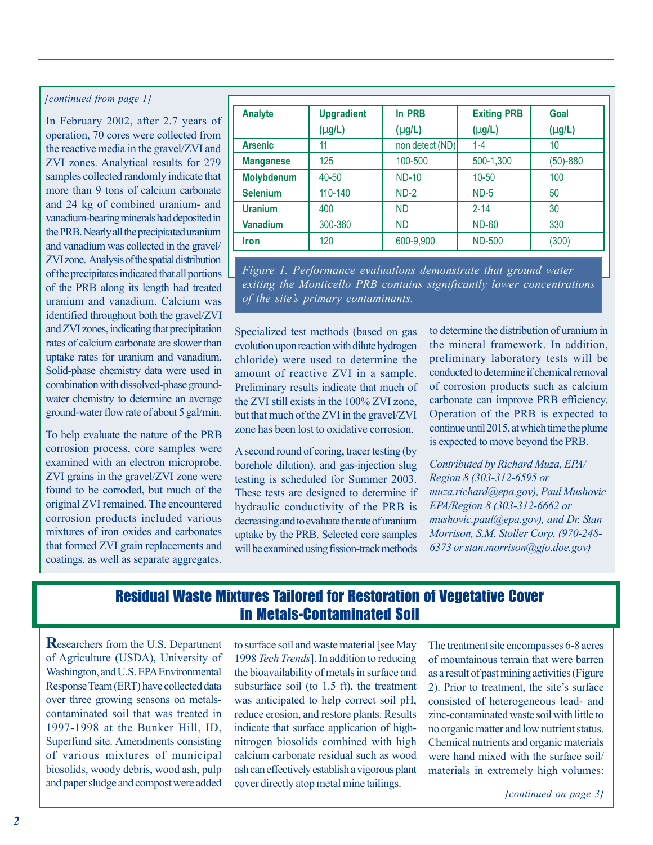#### *[continued from page 1]*

In February 2002, after 2.7 years of operation, 70 cores were collected from the reactive media in the gravel/ZVI and ZVI zones. Analytical results for 279 samples collected randomly indicate that more than 9 tons of calcium carbonate and 24 kg of combined uranium- and vanadium-bearing minerals had deposited in the PRB. Nearly all the precipitated uranium and vanadium was collected in the gravel/ ZVI zone. Analysis of the spatial distribution of the precipitates indicated that all portions of the PRB along its length had treated uranium and vanadium. Calcium was identified throughout both the gravel/ZVI and ZVI zones, indicating that precipitation rates of calcium carbonate are slower than uptake rates for uranium and vanadium. Solid-phase chemistry data were used in combination with dissolved-phase groundwater chemistry to determine an average ground-water flow rate of about 5 gal/min.

To help evaluate the nature of the PRB corrosion process, core samples were examined with an electron microprobe. ZVI grains in the gravel/ZVI zone were found to be corroded, but much of the original ZVI remained. The encountered corrosion products included various mixtures of iron oxides and carbonates that formed ZVI grain replacements and coatings, as well as separate aggregates.

| <b>Analyte</b>    | <b>Upgradient</b> | In PRB          | <b>Exiting PRB</b> | Goal        |
|-------------------|-------------------|-----------------|--------------------|-------------|
|                   | $(\mu g/L)$       | $(\mu g/L)$     | $(\mu$ g/L)        | $(\mu g/L)$ |
| <b>Arsenic</b>    | 11                | non detect (ND) | $1 - 4$            | 10          |
| <b>Manganese</b>  | 125               | 100-500         | 500-1,300          | $(50)-880$  |
| <b>Molybdenum</b> | 40-50             | <b>ND-10</b>    | $10 - 50$          | 100         |
| <b>Selenium</b>   | 110-140           | $ND-2$          | $ND-5$             | 50          |
| <b>Uranium</b>    | 400               | <b>ND</b>       | $2 - 14$           | 30          |
| <b>Vanadium</b>   | 300-360           | <b>ND</b>       | <b>ND-60</b>       | 330         |
| <b>Iron</b>       | 120               | 600-9,900       | <b>ND-500</b>      | (300)       |

*Figure 1. Performance evaluations demonstrate that ground water exiting the Monticello PRB contains significantly lower concentrations of the site's primary contaminants.* 

Specialized test methods (based on gas evolution upon reaction with dilute hydrogen chloride) were used to determine the amount of reactive ZVI in a sample. Preliminary results indicate that much of the ZVI still exists in the 100% ZVI zone, but that much of the ZVI in the gravel/ZVI zone has been lost to oxidative corrosion.

A second round of coring, tracer testing (by borehole dilution), and gas-injection slug testing is scheduled for Summer 2003. These tests are designed to determine if hydraulic conductivity of the PRB is decreasing and to evaluate the rate of uranium uptake by the PRB. Selected core samples will be examined using fission-track methods

to determine the distribution of uranium in the mineral framework. In addition, preliminary laboratory tests will be conducted to determine if chemical removal of corrosion products such as calcium carbonate can improve PRB efficiency. Operation of the PRB is expected to continue until 2015, at which time the plume is expected to move beyond the PRB.

*Contributed by Richard Muza, EPA/ Region 8 (303-312-6595 or muza.richard@epa.gov), Paul Mushovic EPA/Region 8 (303-312-6662 or mushovic.paul@epa.gov), and Dr. Stan Morrison, S.M. Stoller Corp. (970-248- 6373 or stan.morrison@gjo.doe.gov)* 

## Residual Waste Mixtures Tailored for Restoration of Vegetative Cover in Metals-Contaminated Soil

**R**esearchers from the U.S. Department of Agriculture (USDA), University of Washington, and U.S. EPA Environmental Response Team (ERT) have collected data over three growing seasons on metalscontaminated soil that was treated in 1997-1998 at the Bunker Hill, ID, Superfund site. Amendments consisting of various mixtures of municipal biosolids, woody debris, wood ash, pulp and paper sludge and compost were added

to surface soil and waste material [see May 1998 *Tech Trends*]. In addition to reducing the bioavailability of metals in surface and subsurface soil (to 1.5 ft), the treatment was anticipated to help correct soil pH, reduce erosion, and restore plants. Results indicate that surface application of highnitrogen biosolids combined with high calcium carbonate residual such as wood ash can effectively establish a vigorous plant cover directly atop metal mine tailings.

The treatment site encompasses 6-8 acres of mountainous terrain that were barren as a result of past mining activities (Figure 2). Prior to treatment, the site's surface consisted of heterogeneous lead- and zinc-contaminated waste soil with little to no organic matter and low nutrient status. Chemical nutrients and organic materials were hand mixed with the surface soil/ materials in extremely high volumes:

*[continued on page 3]*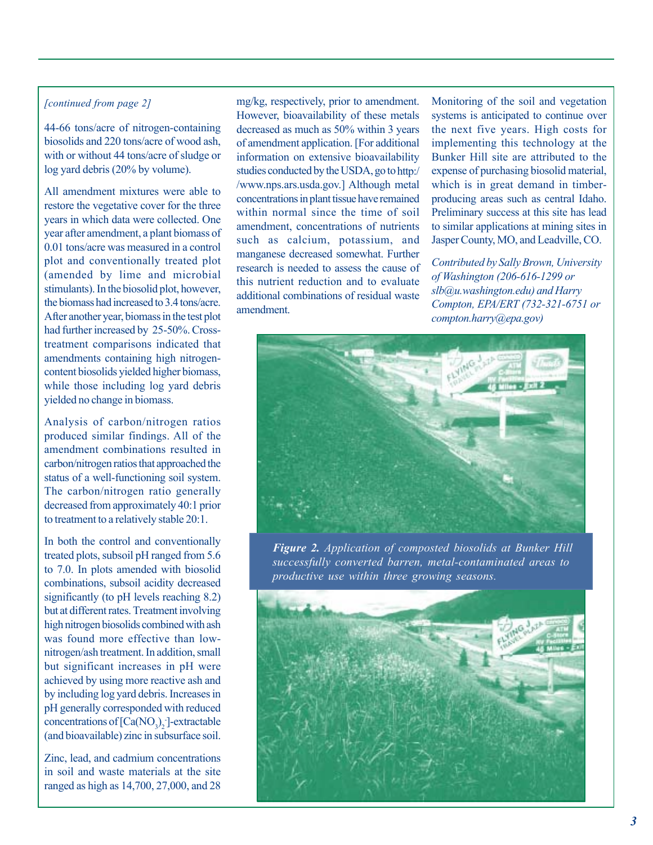#### *[continued from page 2]*

44-66 tons/acre of nitrogen-containing biosolids and 220 tons/acre of wood ash, with or without 44 tons/acre of sludge or log yard debris (20% by volume).

All amendment mixtures were able to restore the vegetative cover for the three years in which data were collected. One year after amendment, a plant biomass of 0.01 tons/acre was measured in a control plot and conventionally treated plot (amended by lime and microbial stimulants). In the biosolid plot, however, the biomass had increased to 3.4 tons/acre. After another year, biomass in the test plot had further increased by 25-50%. Crosstreatment comparisons indicated that amendments containing high nitrogencontent biosolids yielded higher biomass, while those including log yard debris yielded no change in biomass.

Analysis of carbon/nitrogen ratios produced similar findings. All of the amendment combinations resulted in carbon/nitrogen ratios that approached the status of a well-functioning soil system. The carbon/nitrogen ratio generally decreased from approximately 40:1 prior to treatment to a relatively stable 20:1.

In both the control and conventionally treated plots, subsoil pH ranged from 5.6 to 7.0. In plots amended with biosolid combinations, subsoil acidity decreased significantly (to pH levels reaching 8.2) but at different rates. Treatment involving high nitrogen biosolids combined with ash was found more effective than lownitrogen/ash treatment. In addition, small but significant increases in pH were achieved by using more reactive ash and by including log yard debris. Increases in pH generally corresponded with reduced concentrations of  $[Ca(NO<sub>3</sub>)<sub>2</sub>]$ -extractable (and bioavailable) zinc in subsurface soil.

Zinc, lead, and cadmium concentrations in soil and waste materials at the site ranged as high as 14,700, 27,000, and 28

mg/kg, respectively, prior to amendment. However, bioavailability of these metals decreased as much as 50% within 3 years of amendment application. [For additional information on extensive bioavailability studies conducted by the USDA, go to http:/ /www.nps.ars.usda.gov.] Although metal concentrations in plant tissue have remained within normal since the time of soil amendment, concentrations of nutrients such as calcium, potassium, and manganese decreased somewhat. Further research is needed to assess the cause of this nutrient reduction and to evaluate additional combinations of residual waste amendment.

Monitoring of the soil and vegetation systems is anticipated to continue over the next five years. High costs for implementing this technology at the Bunker Hill site are attributed to the expense of purchasing biosolid material, which is in great demand in timberproducing areas such as central Idaho. Preliminary success at this site has lead to similar applications at mining sites in Jasper County, MO, and Leadville, CO.

*Contributed by Sally Brown, University of Washington (206-616-1299 or slb@u.washington.edu) and Harry Compton, EPA/ERT (732-321-6751 or compton.harry@epa.gov)* 



*Figure 2. Application of composted biosolids at Bunker Hill successfully converted barren, metal-contaminated areas to productive use within three growing seasons.* 

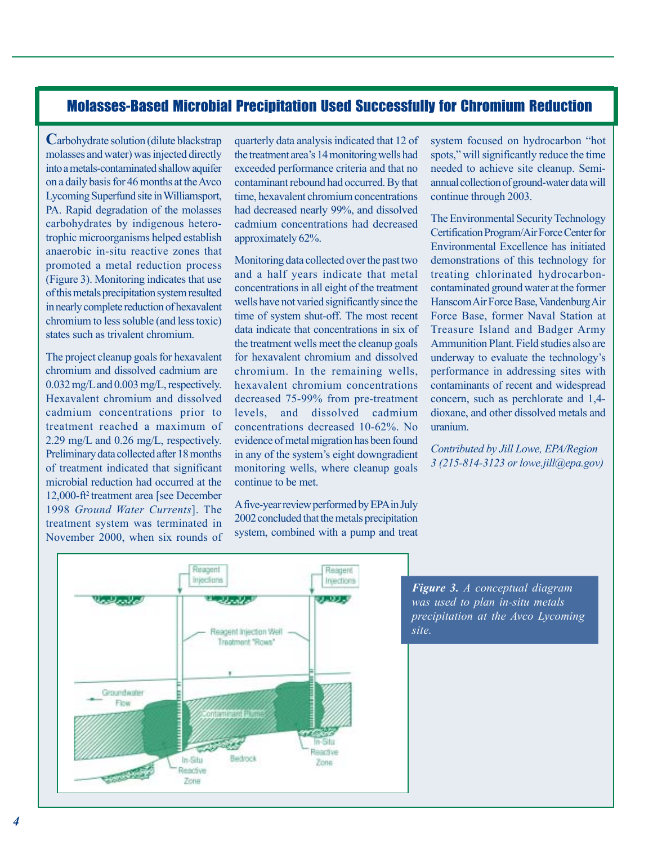#### Molasses-Based Microbial Precipitation Used Successfully for Chromium Reduction

**C**arbohydrate solution (dilute blackstrap molasses and water) was injected directly into a metals-contaminated shallow aquifer on a daily basis for 46 months at the Avco Lycoming Superfund site in Williamsport, PA. Rapid degradation of the molasses carbohydrates by indigenous heterotrophic microorganisms helped establish anaerobic in-situ reactive zones that promoted a metal reduction process (Figure 3). Monitoring indicates that use of this metals precipitation system resulted in nearly complete reduction of hexavalent chromium to less soluble (and less toxic) states such as trivalent chromium.

The project cleanup goals for hexavalent chromium and dissolved cadmium are 0.032 mg/L and 0.003 mg/L, respectively. Hexavalent chromium and dissolved cadmium concentrations prior to treatment reached a maximum of 2.29 mg/L and 0.26 mg/L, respectively. Preliminary data collected after 18 months of treatment indicated that significant microbial reduction had occurred at the 12,000-ft2 treatment area [see December 1998 *Ground Water Currents*]. The treatment system was terminated in November 2000, when six rounds of quarterly data analysis indicated that 12 of the treatment area's 14 monitoring wells had exceeded performance criteria and that no contaminant rebound had occurred. By that time, hexavalent chromium concentrations had decreased nearly 99%, and dissolved cadmium concentrations had decreased approximately 62%.

Monitoring data collected over the past two and a half years indicate that metal concentrations in all eight of the treatment wells have not varied significantly since the time of system shut-off. The most recent data indicate that concentrations in six of the treatment wells meet the cleanup goals for hexavalent chromium and dissolved chromium. In the remaining wells, hexavalent chromium concentrations decreased 75-99% from pre-treatment levels, and dissolved cadmium concentrations decreased 10-62%. No evidence of metal migration has been found in any of the system's eight downgradient monitoring wells, where cleanup goals continue to be met.

Afive-year review performed by EPAin July 2002 concluded that the metals precipitation system, combined with a pump and treat system focused on hydrocarbon "hot spots," will significantly reduce the time needed to achieve site cleanup. Semiannual collection of ground-water data will continue through 2003.

The Environmental Security Technology Certification Program/Air Force Center for Environmental Excellence has initiated demonstrations of this technology for treating chlorinated hydrocarboncontaminated ground water at the former HanscomAir Force Base, VandenburgAir Force Base, former Naval Station at Treasure Island and Badger Army Ammunition Plant. Field studies also are underway to evaluate the technology's performance in addressing sites with contaminants of recent and widespread concern, such as perchlorate and 1,4 dioxane, and other dissolved metals and uranium.

*Contributed by Jill Lowe, EPA/Region 3 (215-814-3123 or lowe.jill@epa.gov)* 



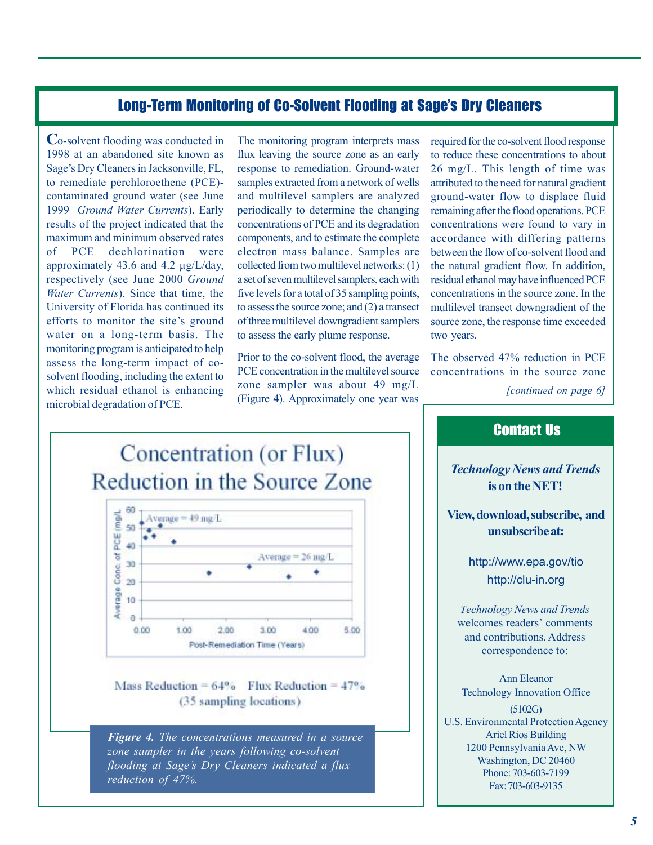#### Long-Term Monitoring of Co-Solvent Flooding at Sage's Dry Cleaners

**C**o-solvent flooding was conducted in 1998 at an abandoned site known as Sage's Dry Cleaners in Jacksonville, FL, to remediate perchloroethene (PCE) contaminated ground water (see June 1999 *Ground Water Currents*). Early results of the project indicated that the maximum and minimum observed rates of PCE approximately 43.6 and 4.2 µg/L/day, respectively (see June 2000 *Ground Water Currents*). Since that time, the University of Florida has continued its efforts to monitor the site's ground water on a long-term basis. The monitoring program is anticipated to help assess the long-term impact of cosolvent flooding, including the extent to which residual ethanol is enhancing microbial degradation of PCE. dechlorination were The monitoring program interprets mass flux leaving the source zone as an early response to remediation. Ground-water samples extracted from a network of wells and multilevel samplers are analyzed periodically to determine the changing concentrations of PCE and its degradation components, and to estimate the complete electron mass balance. Samples are collected from two multilevel networks: (1) a set of seven multilevel samplers, each with five levels for a total of 35 sampling points, to assess the source zone; and (2) a transect of three multilevel downgradient samplers to assess the early plume response.

Prior to the co-solvent flood, the average PCE concentration in the multilevel source zone sampler was about 49 mg/L (Figure 4). Approximately one year was

required for the co-solvent flood response to reduce these concentrations to about 26 mg/L. This length of time was attributed to the need for natural gradient ground-water flow to displace fluid remaining after the flood operations. PCE concentrations were found to vary in accordance with differing patterns between the flow of co-solvent flood and the natural gradient flow. In addition, residual ethanol may have influenced PCE concentrations in the source zone. In the multilevel transect downgradient of the source zone, the response time exceeded two years.

The observed 47% reduction in PCE concentrations in the source zone

*[continued on page 6]* 



Mass Reduction =  $64\%$  Flux Reduction =  $47\%$ (35 sampling locations)

*Figure 4. The concentrations measured in a source zone sampler in the years following co-solvent flooding at Sage's Dry Cleaners indicated a flux reduction of 47%.* 

# *Technology News and Trends*  **is on the NET! View, download, subscribe, and**

Contact Us

**unsubscribe at:** 

<http://www.epa.gov/tio> <http://clu-in.org>

*Technology News and Trends*  welcomes readers' comments and contributions. Address correspondence to:

Ann Eleanor Technology Innovation Office (5102G) U.S. Environmental Protection Agency Ariel Rios Building 1200 Pennsylvania Ave, NW Washington, DC 20460 Phone: 703-603-7199 Fax: 703-603-9135